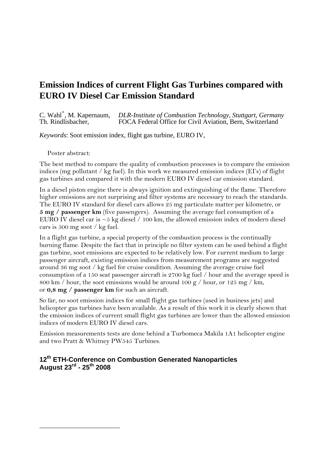# **Emission Indices of current Flight Gas Turbines compared with EURO IV Diesel Car Emission Standard**

C. Wahl<sup>[\\*](#page-0-0)</sup>, M. Kapernaum,<br>Th. Rindlisbacher. , M. Kapernaum, *DLR-Institute of Combustion Technology, Stuttgart, Germany*  FOCA Federal Office for Civil Aviation, Bern, Switzerland

*Keywords*: Soot emission index, flight gas turbine, EURO IV,

Poster abstract:

<span id="page-0-0"></span>-

The best method to compare the quality of combustion processes is to compare the emission indices (mg pollutant / kg fuel). In this work we measured emission indices (EI's) of flight gas turbines and compared it with the modern EURO IV diesel car emission standard.

In a diesel piston engine there is always ignition and extinguishing of the flame. Therefore higher emissions are not surprising and filter systems are necessary to reach the standards. The EURO IV standard for diesel cars allows 25 mg particulate matter per kilometre, or **5 mg / passenger km** (five passengers). Assuming the average fuel consumption of a EURO IV diesel car is  $\sim$  5 kg diesel / 100 km, the allowed emission index of modern diesel cars is 500 mg soot / kg fuel.

In a flight gas turbine, a special property of the combustion process is the continually burning flame. Despite the fact that in principle no filter system can be used behind a flight gas turbine, soot emissions are expected to be relatively low. For current medium to large passenger aircraft, existing emission indices from measurement programs are suggested around 36 mg soot / kg fuel for cruise condition. Assuming the average cruise fuel consumption of a 150 seat passenger aircraft is 2700 kg fuel / hour and the average speed is 800 km / hour, the soot emissions would be around 100 g / hour, or 125 mg / km, or **0,8 mg / passenger km** for such an aircraft.

So far, no soot emission indices for small flight gas turbines (used in business jets) and helicopter gas turbines have been available. As a result of this work it is clearly shown that the emission indices of current small flight gas turbines are lower than the allowed emission indices of modern EURO IV diesel cars.

Emission measurements tests are done behind a Turbomeca Makila 1A1 helicopter engine and two Pratt & Whitney PW545 Turbines.

#### **12th ETH-Conference on Combustion Generated Nanoparticles August 23rd - 25th 2008**